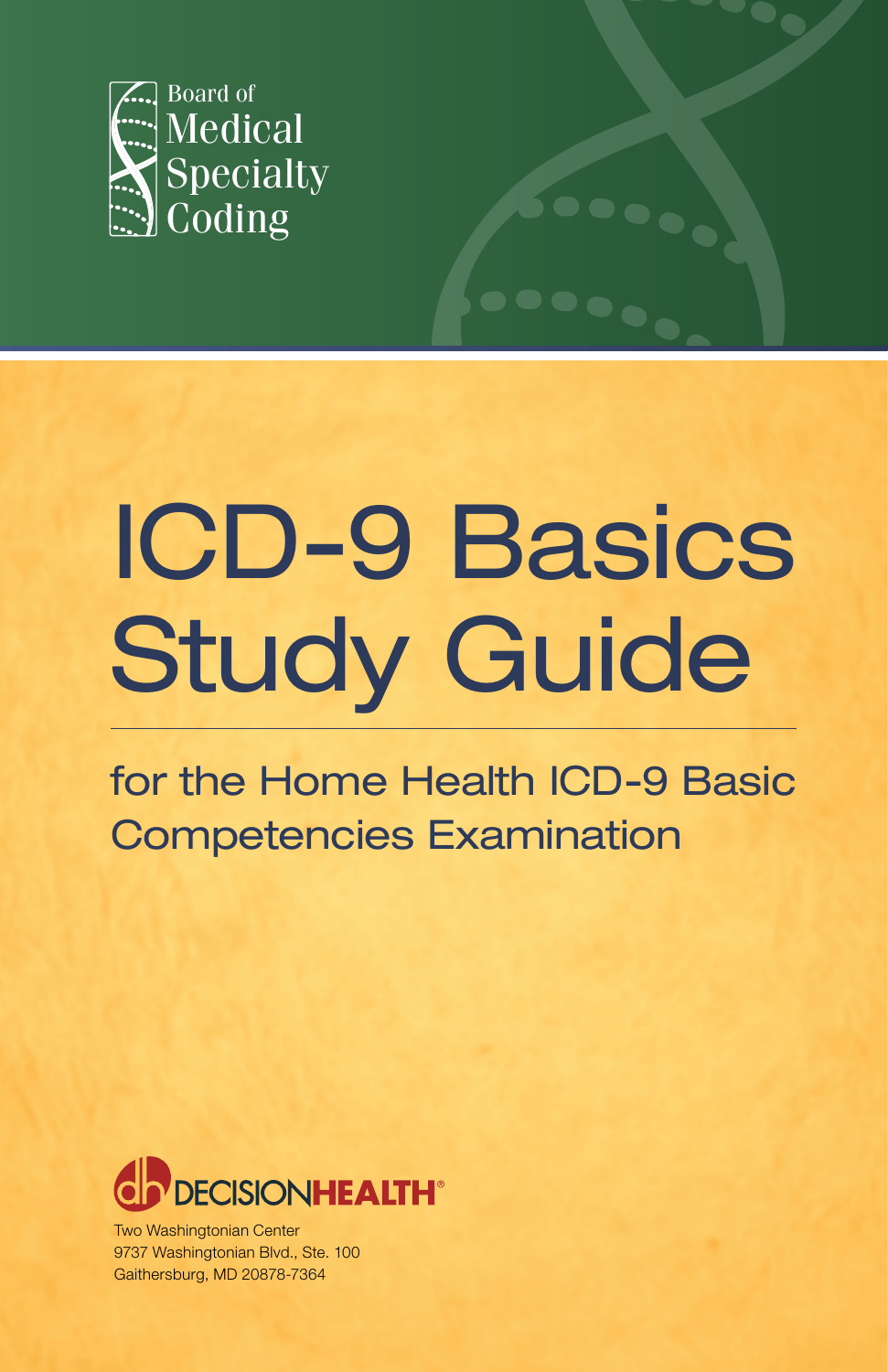

# ICD-9 Basics **Study Guide**

for the Home Health ICD-9 Basic Competencies Examination



Two Washingtonian Center 9737 Washingtonian Blvd., Ste. 100 Gaithersburg, MD 20878-7364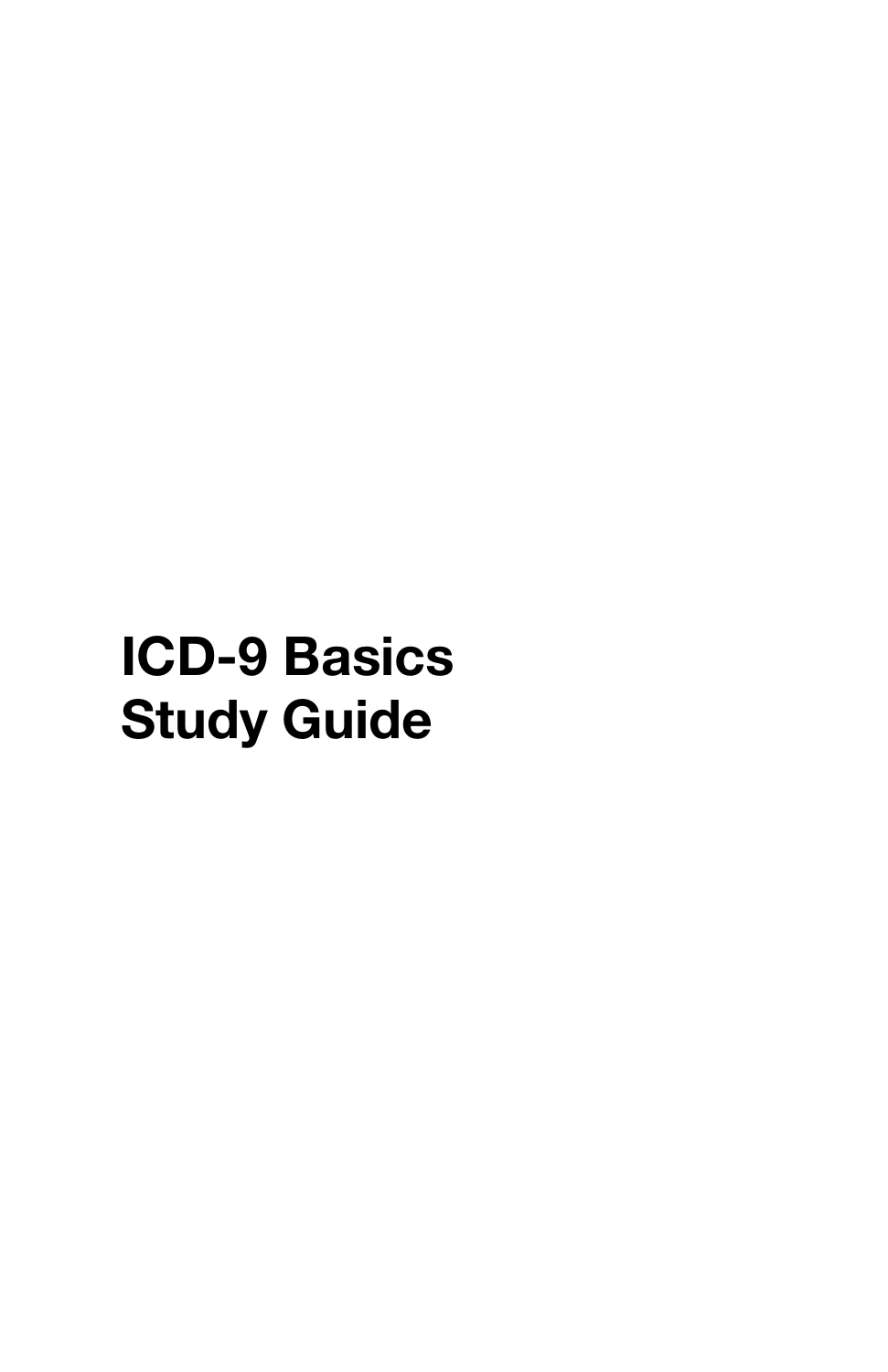# **ICD-9 Basics Study Guide**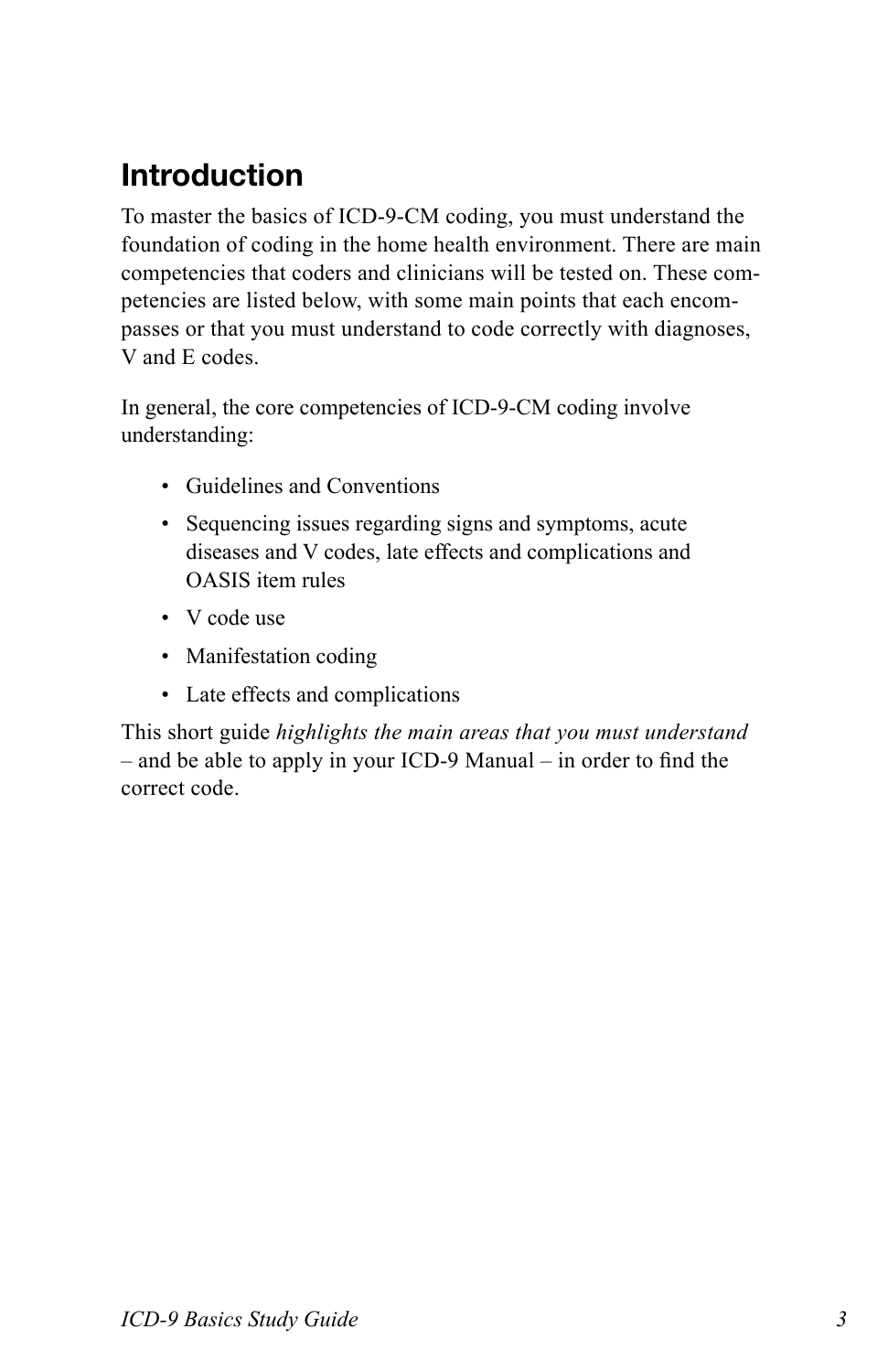# **Introduction**

To master the basics of ICD-9-CM coding, you must understand the foundation of coding in the home health environment. There are main competencies that coders and clinicians will be tested on. These competencies are listed below, with some main points that each encompasses or that you must understand to code correctly with diagnoses, V and E codes.

In general, the core competencies of ICD-9-CM coding involve understanding:

- Guidelines and Conventions
- • Sequencing issues regarding signs and symptoms, acute diseases and V codes, late effects and complications and OASIS item rules
- V code use
- Manifestation coding
- Late effects and complications

This short guide *highlights the main areas that you must understand*  – and be able to apply in your ICD-9 Manual – in order to find the correct code.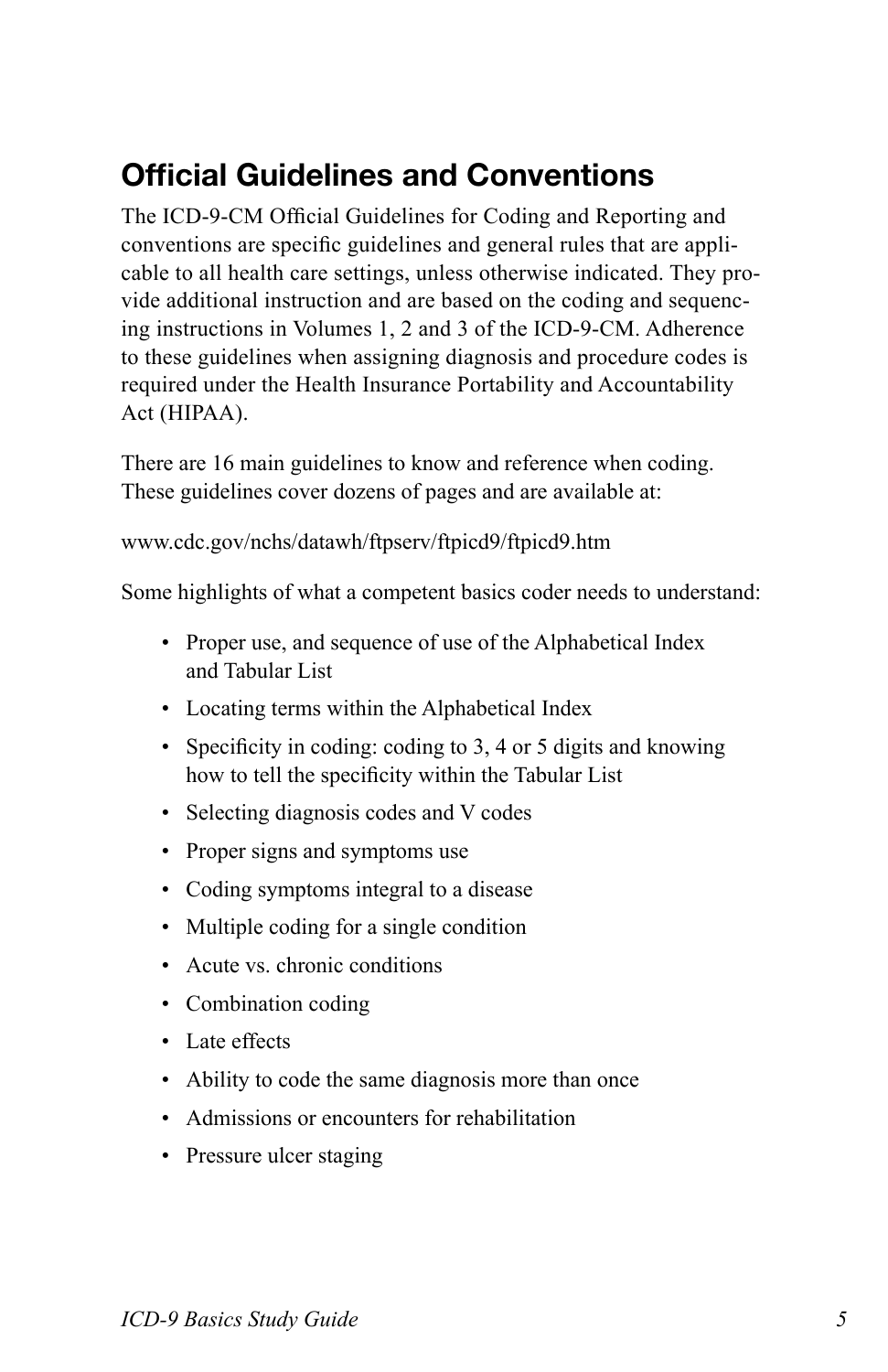## **Official Guidelines and Conventions**

The ICD-9-CM Official Guidelines for Coding and Reporting and conventions are specific guidelines and general rules that are applicable to all health care settings, unless otherwise indicated. They provide additional instruction and are based on the coding and sequencing instructions in Volumes 1, 2 and 3 of the ICD-9-CM. Adherence to these guidelines when assigning diagnosis and procedure codes is required under the Health Insurance Portability and Accountability Act (HIPAA).

There are 16 main guidelines to know and reference when coding. These guidelines cover dozens of pages and are available at:

www.cdc.gov/nchs/datawh/ftpserv/ftpicd9/ftpicd9.htm

Some highlights of what a competent basics coder needs to understand:

- Proper use, and sequence of use of the Alphabetical Index and Tabular List
- Locating terms within the Alphabetical Index
- Specificity in coding: coding to 3, 4 or 5 digits and knowing how to tell the specificity within the Tabular List
- Selecting diagnosis codes and V codes
- Proper signs and symptoms use
- Coding symptoms integral to a disease
- Multiple coding for a single condition
- Acute vs. chronic conditions
- Combination coding
- Late effects
- Ability to code the same diagnosis more than once
- • Admissions or encounters for rehabilitation
- Pressure ulcer staging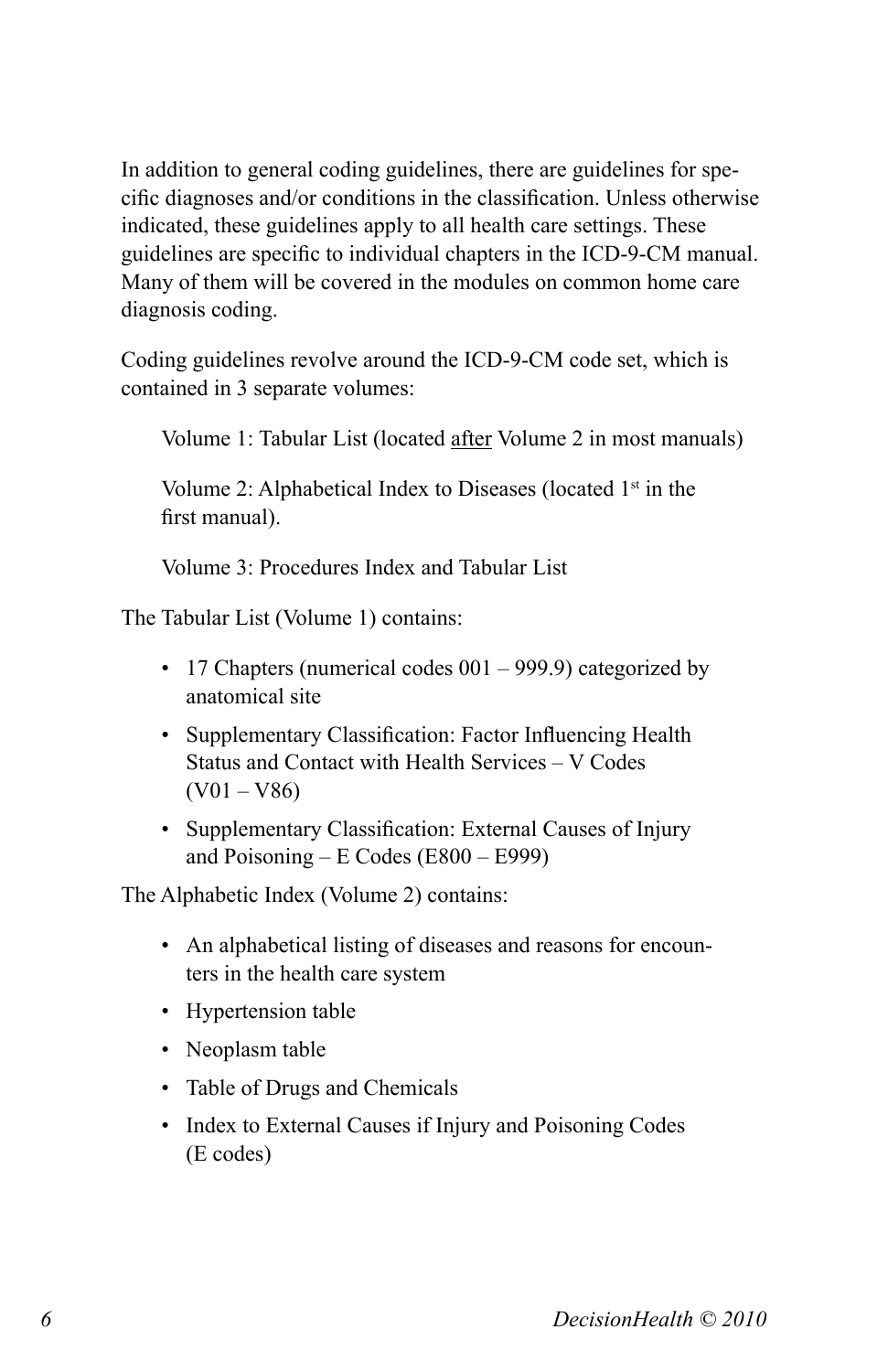In addition to general coding guidelines, there are guidelines for specific diagnoses and/or conditions in the classification. Unless otherwise indicated, these guidelines apply to all health care settings. These guidelines are specific to individual chapters in the ICD-9-CM manual. Many of them will be covered in the modules on common home care diagnosis coding.

Coding guidelines revolve around the ICD-9-CM code set, which is contained in 3 separate volumes:

Volume 1: Tabular List (located after Volume 2 in most manuals)

Volume 2: Alphabetical Index to Diseases (located  $1<sup>st</sup>$  in the first manual).

Volume 3: Procedures Index and Tabular List

The Tabular List (Volume 1) contains:

- 17 Chapters (numerical codes  $001 999.9$ ) categorized by anatomical site
- Supplementary Classification: Factor Influencing Health Status and Contact with Health Services – V Codes  $(V01 - V86)$
- Supplementary Classification: External Causes of Injury and Poisoning – E Codes (E800 – E999)

The Alphabetic Index (Volume 2) contains:

- An alphabetical listing of diseases and reasons for encounters in the health care system
- Hypertension table
- Neoplasm table
- Table of Drugs and Chemicals
- Index to External Causes if Injury and Poisoning Codes (E codes)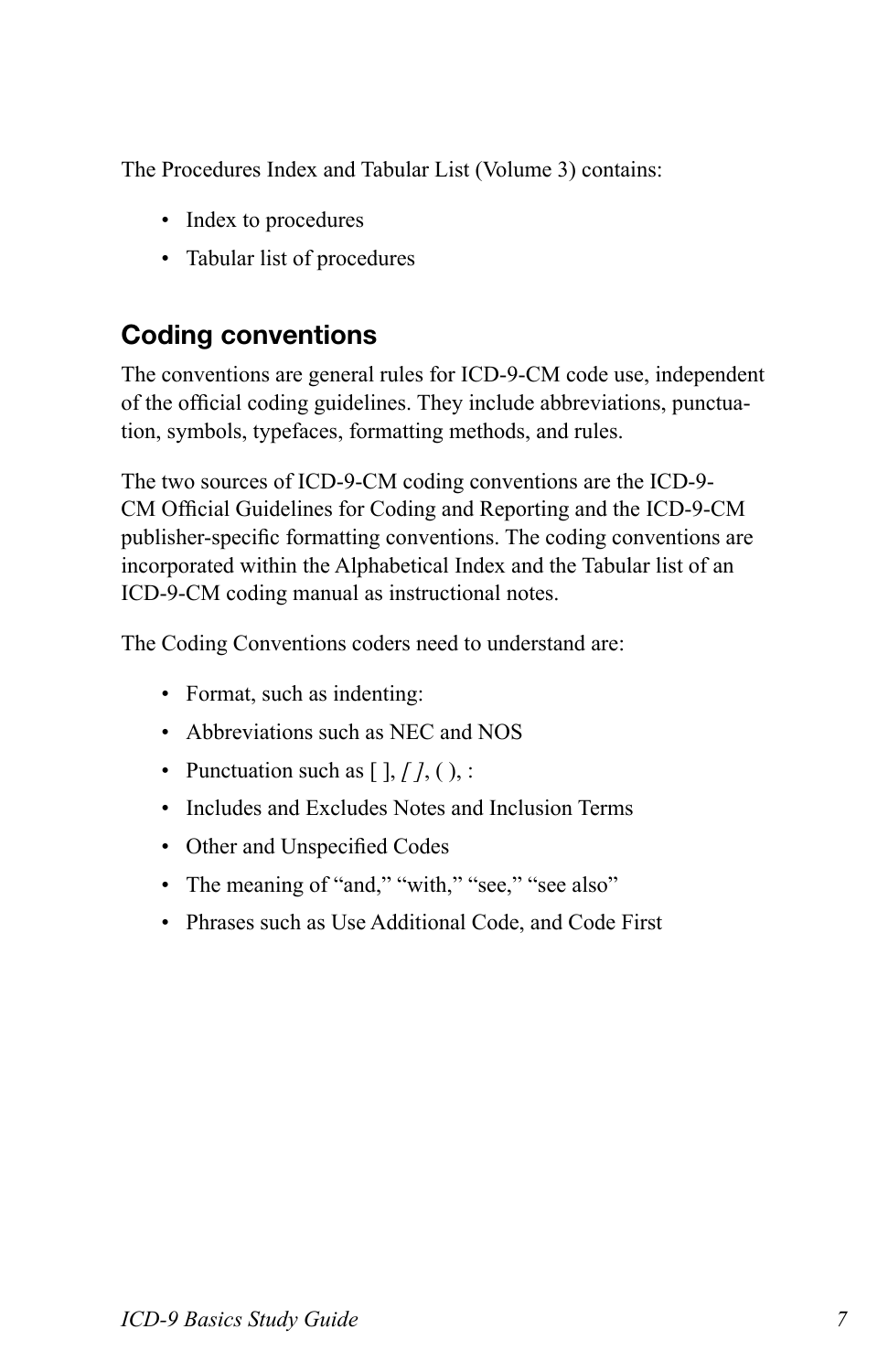The Procedures Index and Tabular List (Volume 3) contains:

- Index to procedures
- Tabular list of procedures

#### **Coding conventions**

The conventions are general rules for ICD-9-CM code use, independent of the official coding guidelines. They include abbreviations, punctuation, symbols, typefaces, formatting methods, and rules.

The two sources of ICD-9-CM coding conventions are the ICD-9- CM Official Guidelines for Coding and Reporting and the ICD-9-CM publisher-specific formatting conventions. The coding conventions are incorporated within the Alphabetical Index and the Tabular list of an ICD-9-CM coding manual as instructional notes.

The Coding Conventions coders need to understand are:

- Format, such as indenting:
- Abbreviations such as NEC and NOS
- Punctuation such as  $[ \, ]$ ,  $[ \, ]$ ,  $( \, )$ , :
- Includes and Excludes Notes and Inclusion Terms
- Other and Unspecified Codes
- The meaning of "and," "with," "see," "see also"
- Phrases such as Use Additional Code, and Code First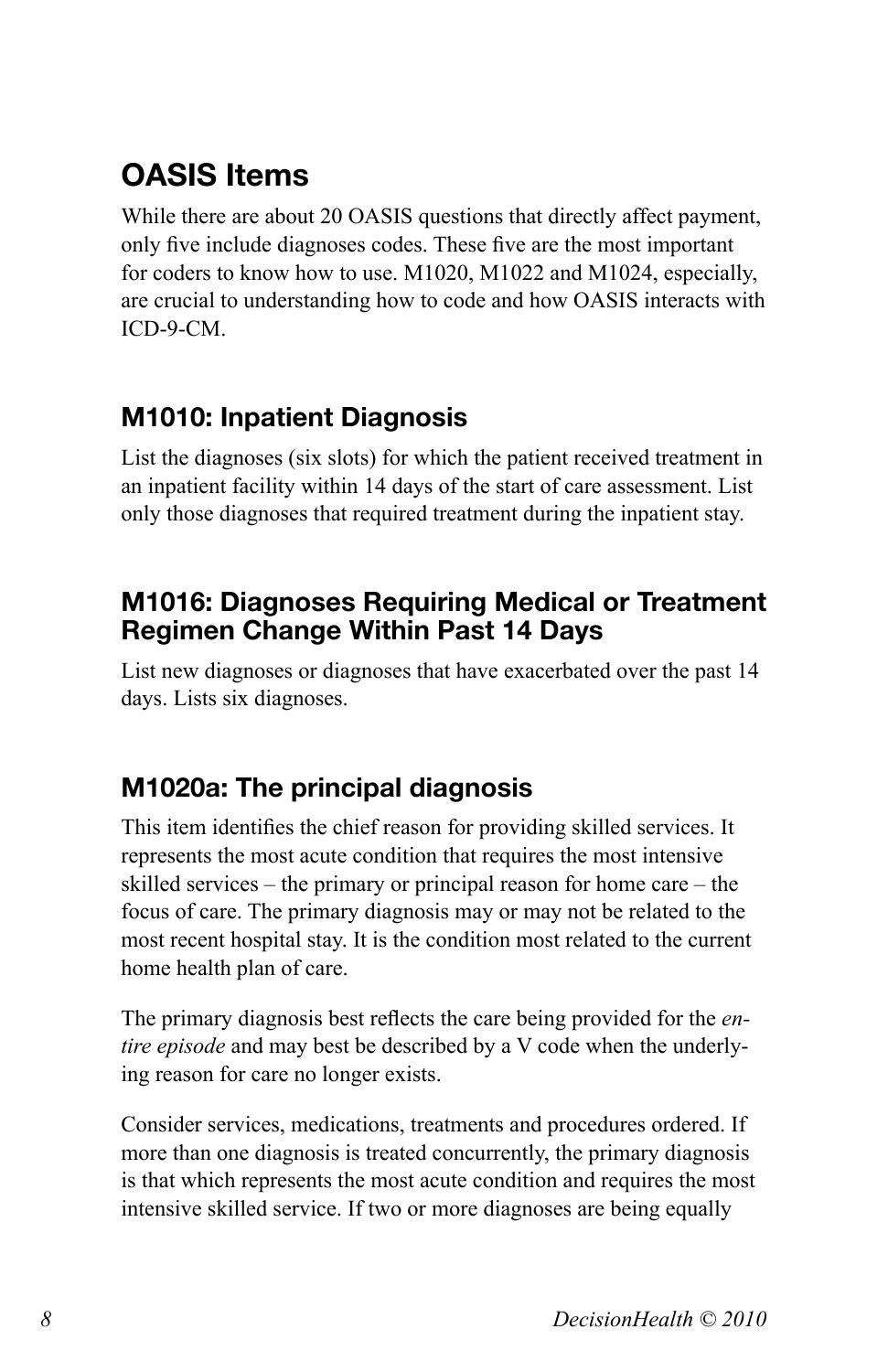# **OASIS Items**

While there are about 20 OASIS questions that directly affect payment, only five include diagnoses codes. These five are the most important for coders to know how to use. M1020, M1022 and M1024, especially, are crucial to understanding how to code and how OASIS interacts with ICD-9-CM.

#### **M1010: Inpatient Diagnosis**

List the diagnoses (six slots) for which the patient received treatment in an inpatient facility within 14 days of the start of care assessment. List only those diagnoses that required treatment during the inpatient stay.

#### **M1016: Diagnoses Requiring Medical or Treatment Regimen Change Within Past 14 Days**

List new diagnoses or diagnoses that have exacerbated over the past 14 days. Lists six diagnoses.

#### **M1020a: The principal diagnosis**

This item identifies the chief reason for providing skilled services. It represents the most acute condition that requires the most intensive skilled services – the primary or principal reason for home care – the focus of care. The primary diagnosis may or may not be related to the most recent hospital stay. It is the condition most related to the current home health plan of care.

The primary diagnosis best reflects the care being provided for the *entire episode* and may best be described by a V code when the underlying reason for care no longer exists.

Consider services, medications, treatments and procedures ordered. If more than one diagnosis is treated concurrently, the primary diagnosis is that which represents the most acute condition and requires the most intensive skilled service. If two or more diagnoses are being equally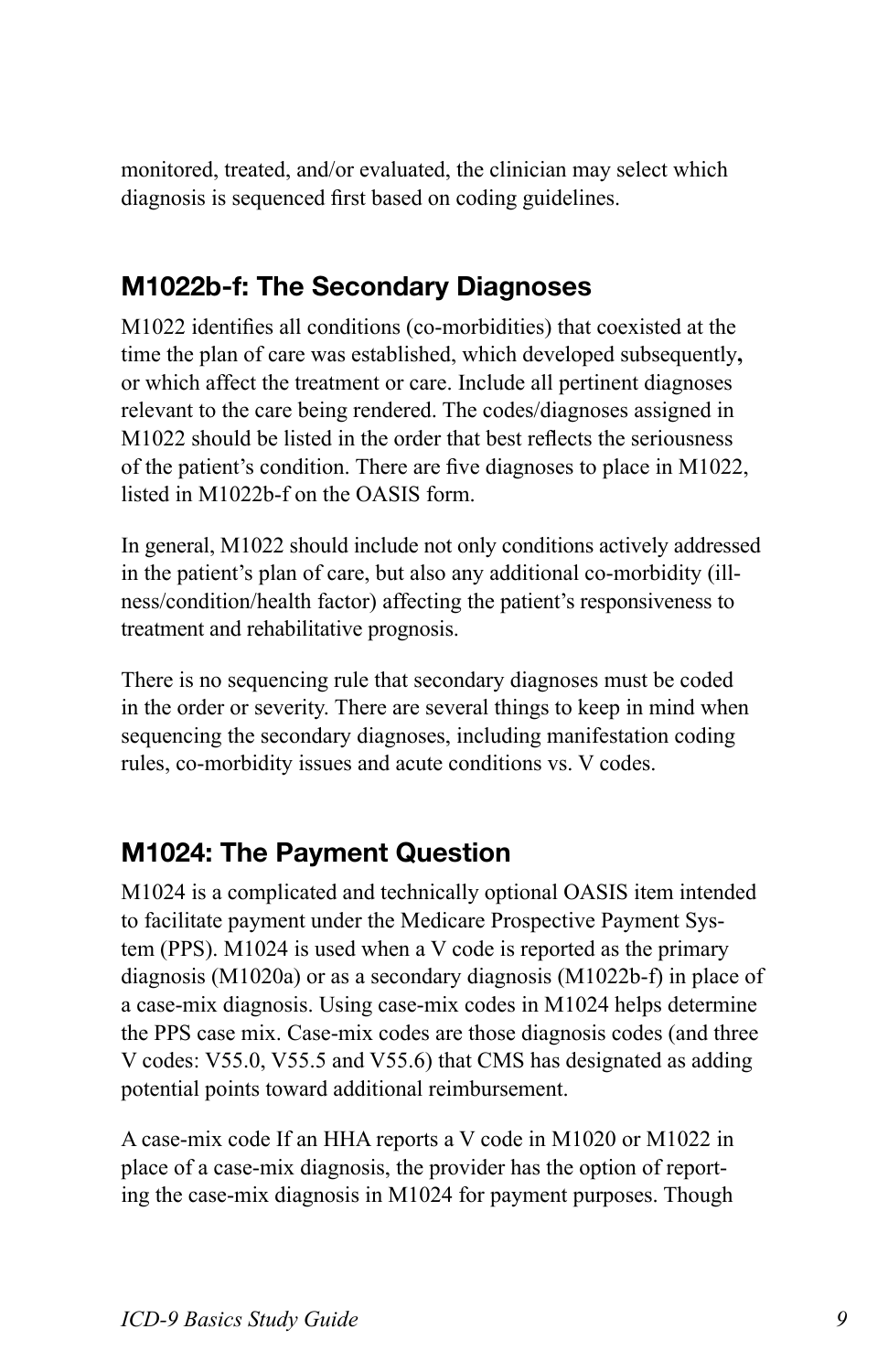monitored, treated, and/or evaluated, the clinician may select which diagnosis is sequenced first based on coding guidelines.

#### **M1022b-f: The Secondary Diagnoses**

M1022 identifies all conditions (co-morbidities) that coexisted at the time the plan of care was established, which developed subsequently**,** or which affect the treatment or care. Include all pertinent diagnoses relevant to the care being rendered. The codes/diagnoses assigned in M1022 should be listed in the order that best reflects the seriousness of the patient's condition. There are five diagnoses to place in M1022, listed in M1022b-f on the OASIS form.

In general, M1022 should include not only conditions actively addressed in the patient's plan of care, but also any additional co-morbidity (illness/condition/health factor) affecting the patient's responsiveness to treatment and rehabilitative prognosis.

There is no sequencing rule that secondary diagnoses must be coded in the order or severity. There are several things to keep in mind when sequencing the secondary diagnoses, including manifestation coding rules, co-morbidity issues and acute conditions vs. V codes.

#### **M1024: The Payment Question**

M1024 is a complicated and technically optional OASIS item intended to facilitate payment under the Medicare Prospective Payment System (PPS). M1024 is used when a V code is reported as the primary diagnosis (M1020a) or as a secondary diagnosis (M1022b-f) in place of a case-mix diagnosis. Using case-mix codes in M1024 helps determine the PPS case mix. Case-mix codes are those diagnosis codes (and three V codes: V55.0, V55.5 and V55.6) that CMS has designated as adding potential points toward additional reimbursement.

A case-mix code If an HHA reports a V code in M1020 or M1022 in place of a case-mix diagnosis, the provider has the option of reporting the case-mix diagnosis in M1024 for payment purposes. Though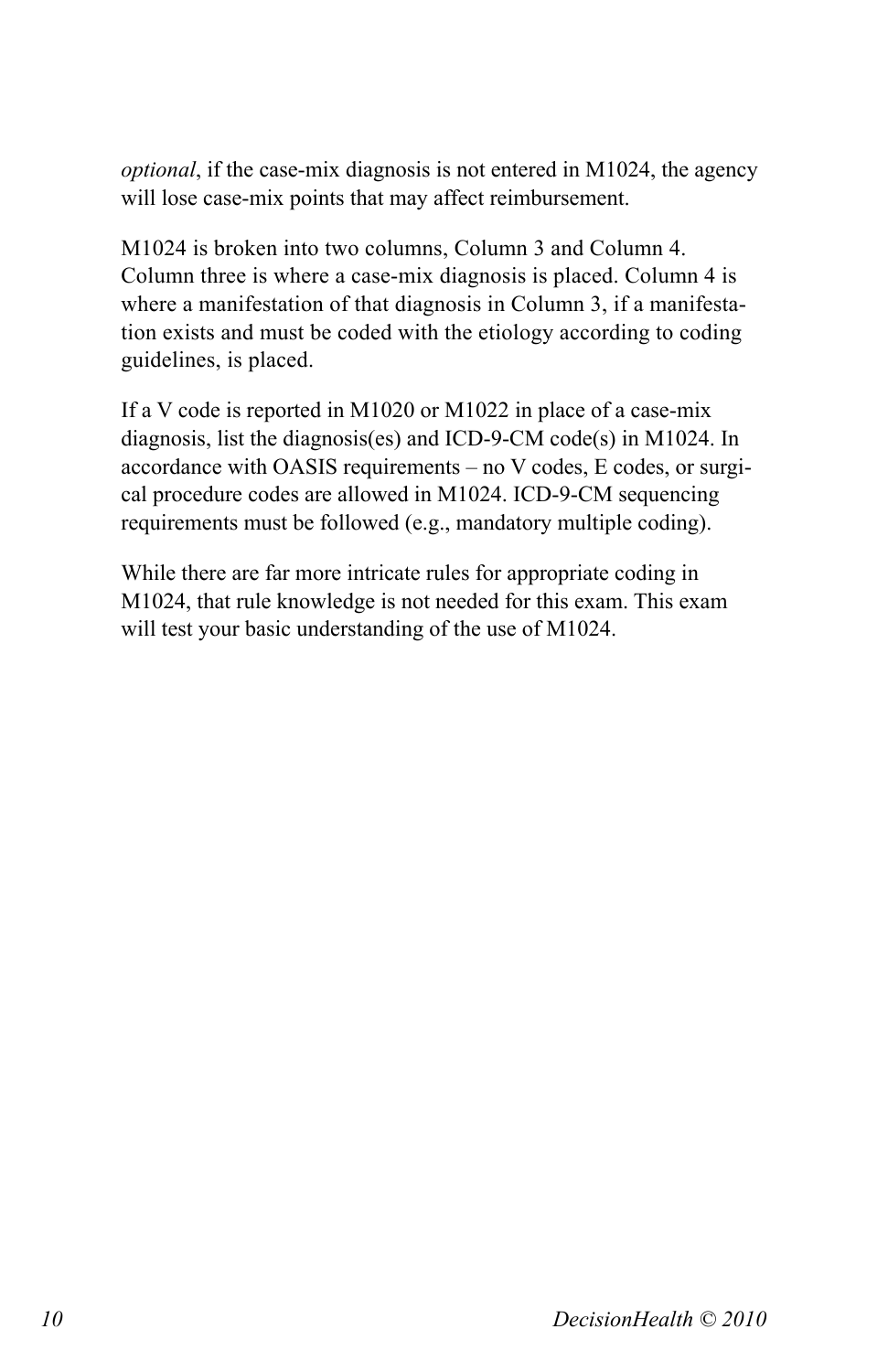*optional*, if the case-mix diagnosis is not entered in M1024, the agency will lose case-mix points that may affect reimbursement.

M1024 is broken into two columns, Column 3 and Column 4. Column three is where a case-mix diagnosis is placed. Column 4 is where a manifestation of that diagnosis in Column 3, if a manifestation exists and must be coded with the etiology according to coding guidelines, is placed.

If a V code is reported in M1020 or M1022 in place of a case-mix diagnosis, list the diagnosis(es) and ICD-9-CM code(s) in M1024. In accordance with OASIS requirements – no V codes, E codes, or surgical procedure codes are allowed in M1024. ICD-9-CM sequencing requirements must be followed (e.g., mandatory multiple coding).

While there are far more intricate rules for appropriate coding in M1024, that rule knowledge is not needed for this exam. This exam will test your basic understanding of the use of M1024.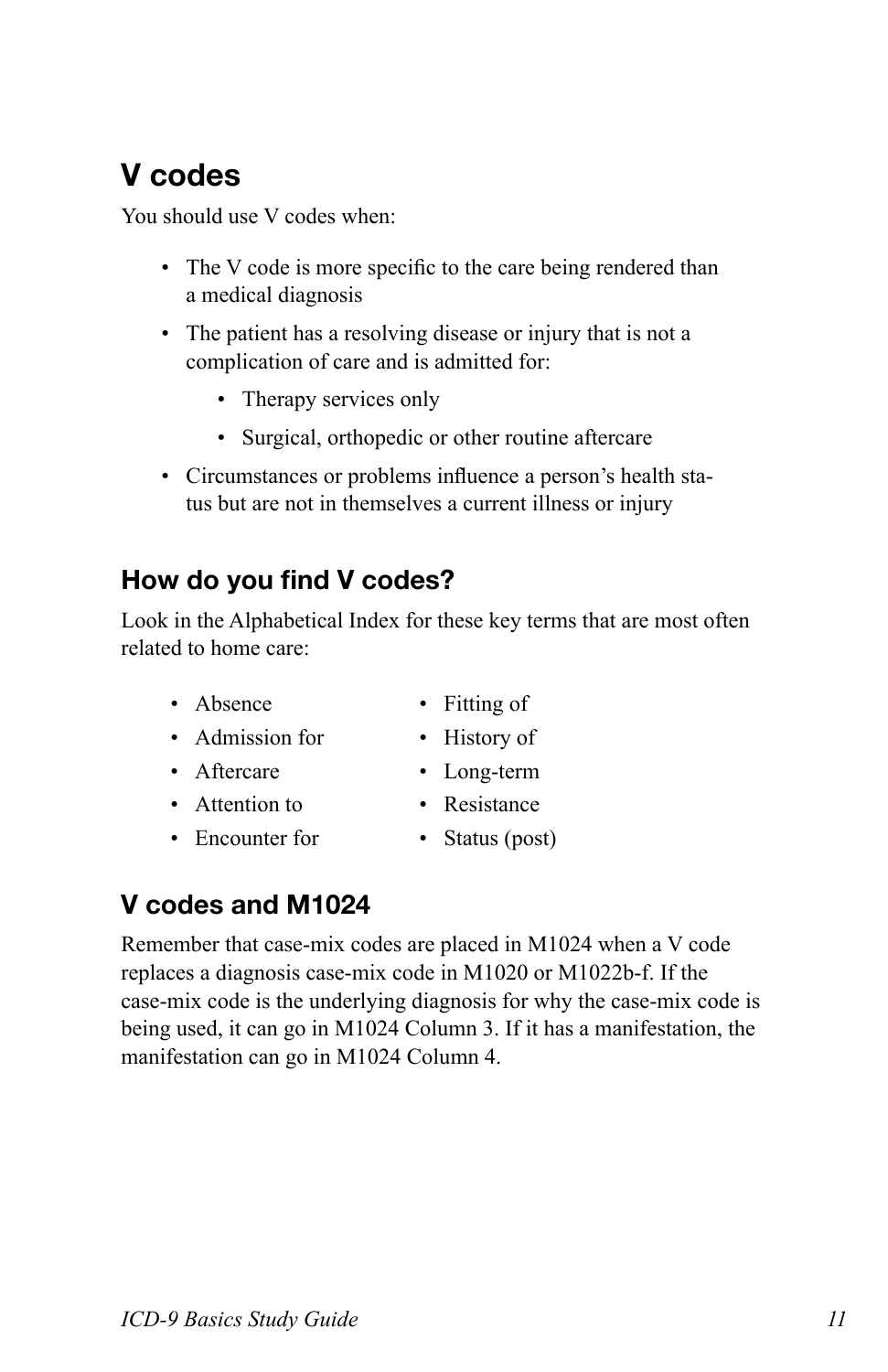#### **V codes**

You should use V codes when:

- The V code is more specific to the care being rendered than a medical diagnosis
- The patient has a resolving disease or injury that is not a complication of care and is admitted for:
	- Therapy services only
	- Surgical, orthopedic or other routine aftercare
- • Circumstances or problems influence a person's health status but are not in themselves a current illness or injury

#### **How do you find V codes?**

Look in the Alphabetical Index for these key terms that are most often related to home care:

- Absence Fitting of
- Admission for History of
- 
- Attention to Resistance
- Encounter for Status (post)
- 
- 
- Aftercare Long-term
	-
	-

#### **V codes and M1024**

Remember that case-mix codes are placed in M1024 when a V code replaces a diagnosis case-mix code in M1020 or M1022b-f. If the case-mix code is the underlying diagnosis for why the case-mix code is being used, it can go in M1024 Column 3. If it has a manifestation, the manifestation can go in M1024 Column 4.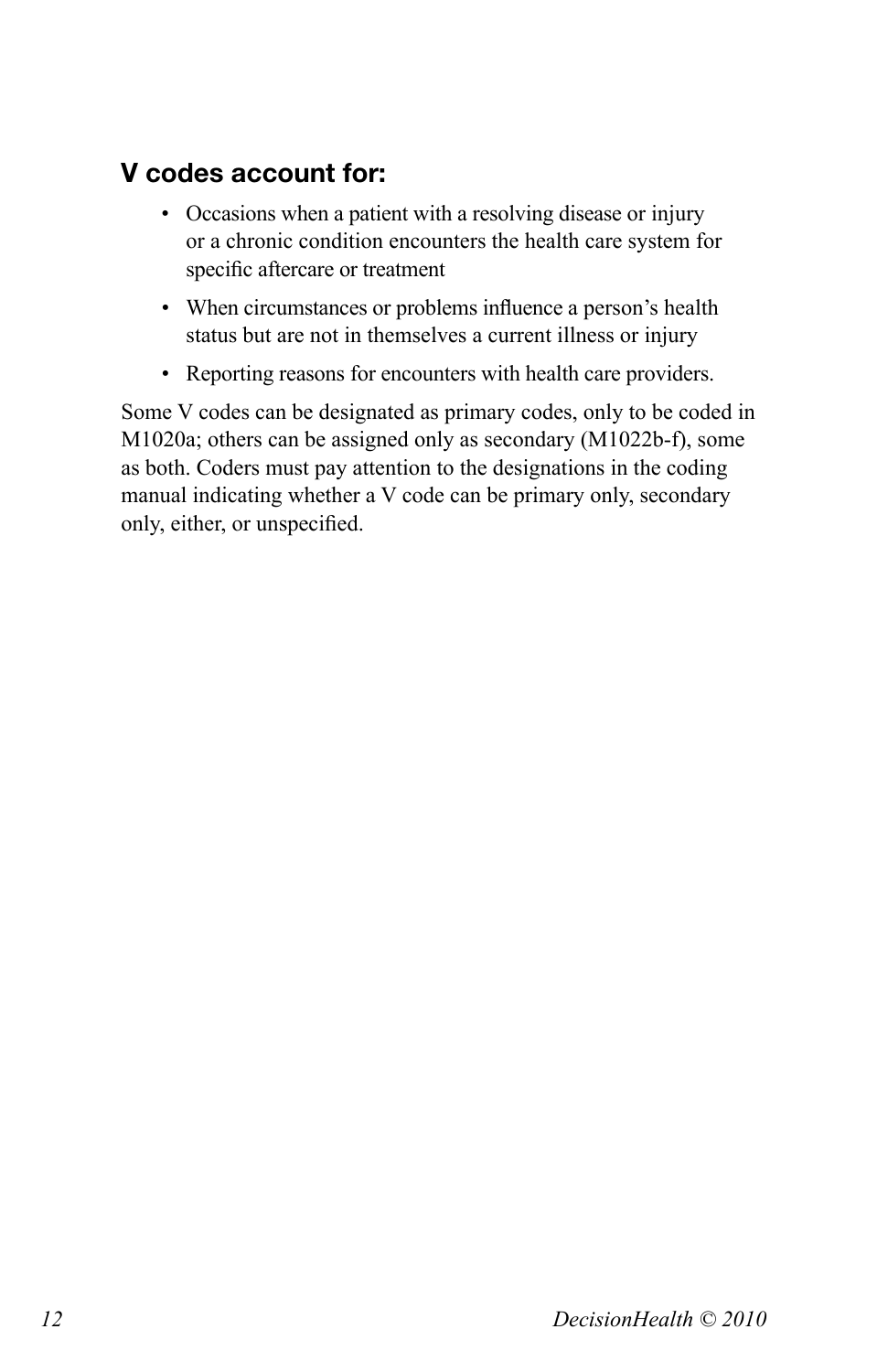#### **V codes account for:**

- Occasions when a patient with a resolving disease or injury or a chronic condition encounters the health care system for specific aftercare or treatment
- When circumstances or problems influence a person's health status but are not in themselves a current illness or injury
- • Reporting reasons for encounters with health care providers.

Some V codes can be designated as primary codes, only to be coded in M1020a; others can be assigned only as secondary (M1022b-f), some as both. Coders must pay attention to the designations in the coding manual indicating whether a V code can be primary only, secondary only, either, or unspecified.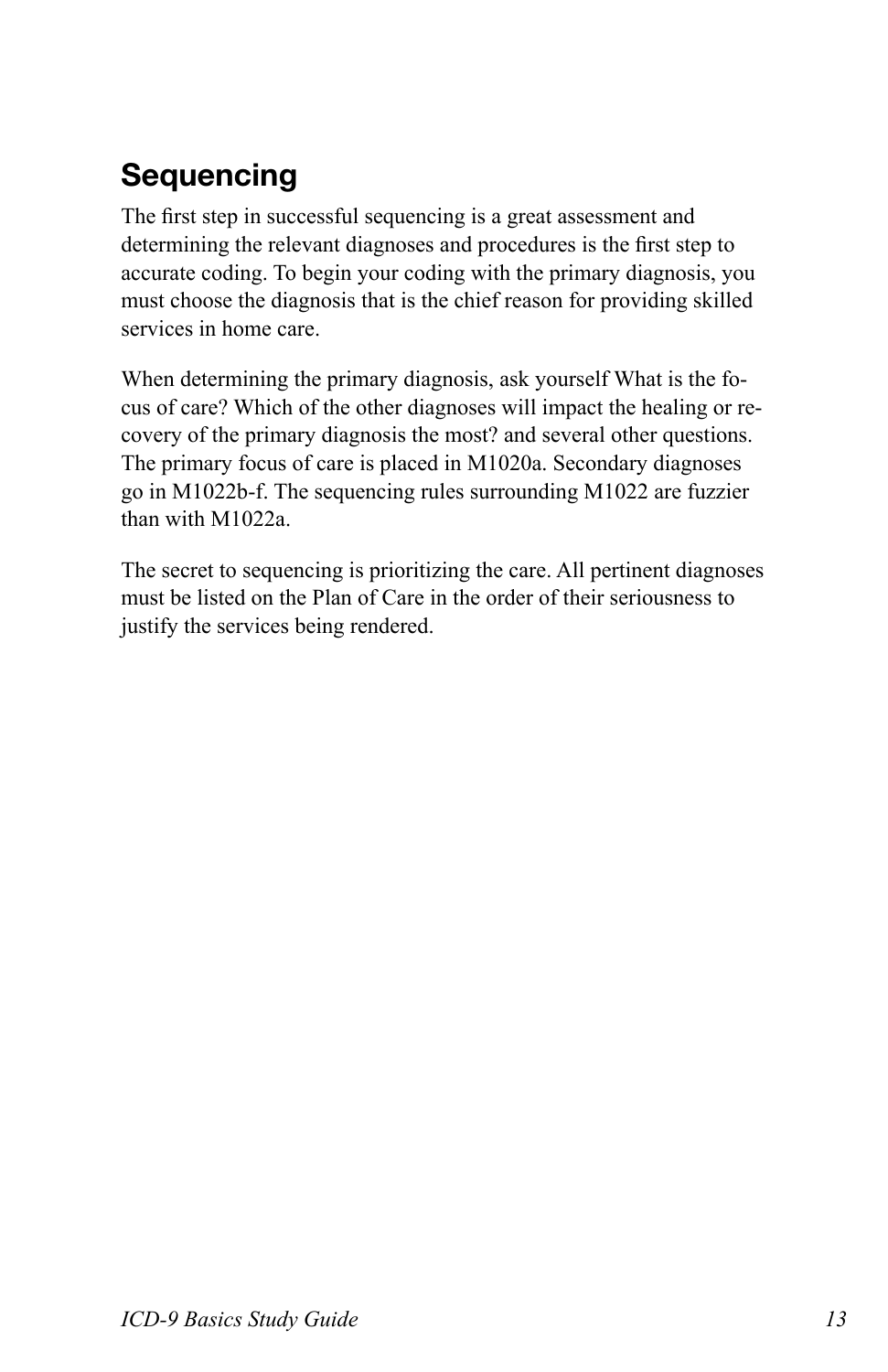# **Sequencing**

The first step in successful sequencing is a great assessment and determining the relevant diagnoses and procedures is the first step to accurate coding. To begin your coding with the primary diagnosis, you must choose the diagnosis that is the chief reason for providing skilled services in home care.

When determining the primary diagnosis, ask yourself What is the focus of care? Which of the other diagnoses will impact the healing or recovery of the primary diagnosis the most? and several other questions. The primary focus of care is placed in M1020a. Secondary diagnoses go in M1022b-f. The sequencing rules surrounding M1022 are fuzzier than with M1022a.

The secret to sequencing is prioritizing the care. All pertinent diagnoses must be listed on the Plan of Care in the order of their seriousness to justify the services being rendered.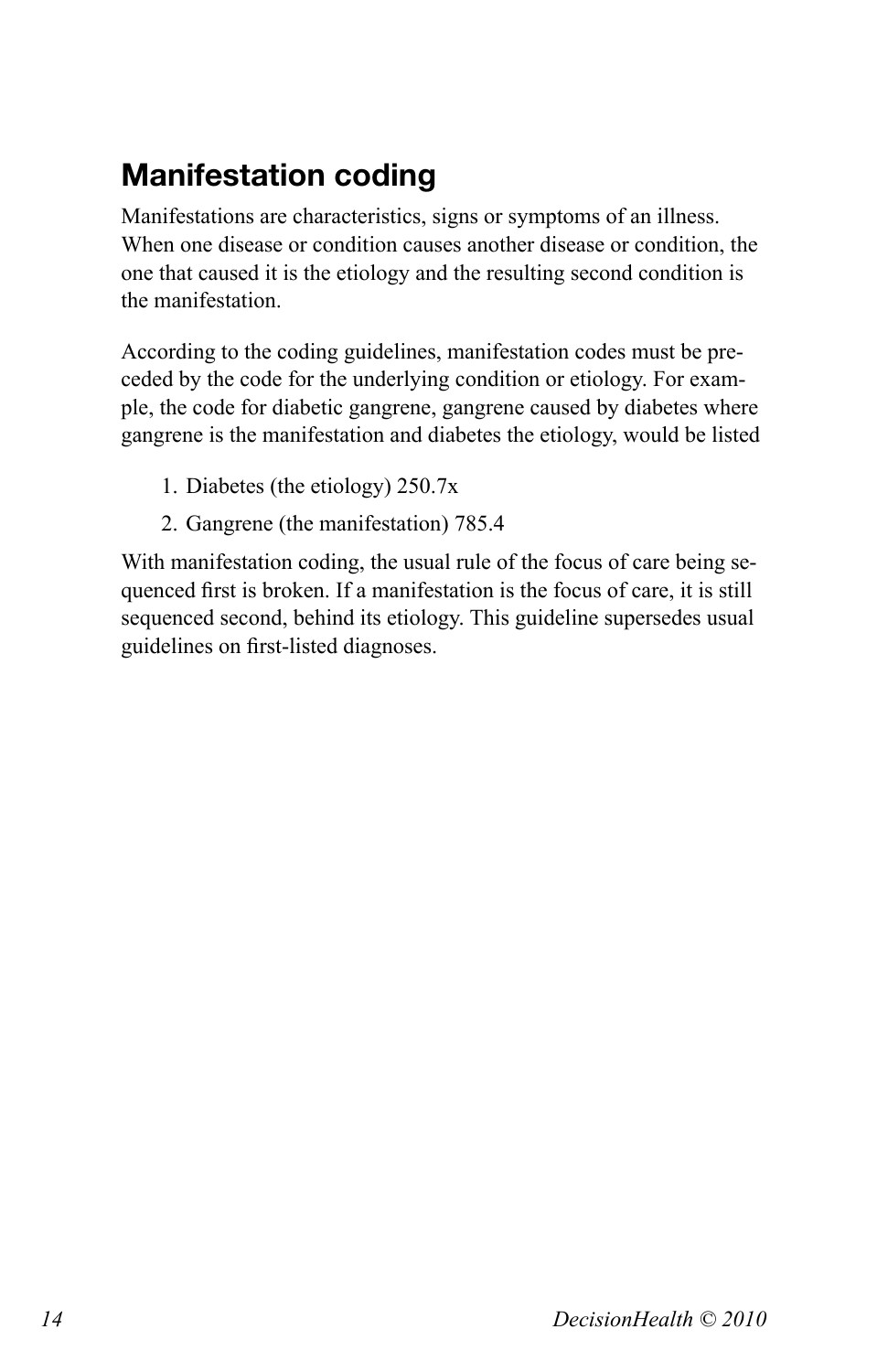# **Manifestation coding**

Manifestations are characteristics, signs or symptoms of an illness. When one disease or condition causes another disease or condition, the one that caused it is the etiology and the resulting second condition is the manifestation.

According to the coding guidelines, manifestation codes must be preceded by the code for the underlying condition or etiology. For example, the code for diabetic gangrene, gangrene caused by diabetes where gangrene is the manifestation and diabetes the etiology, would be listed

- 1. Diabetes (the etiology) 250.7x
- 2. Gangrene (the manifestation) 785.4

With manifestation coding, the usual rule of the focus of care being sequenced first is broken. If a manifestation is the focus of care, it is still sequenced second, behind its etiology. This guideline supersedes usual guidelines on first-listed diagnoses.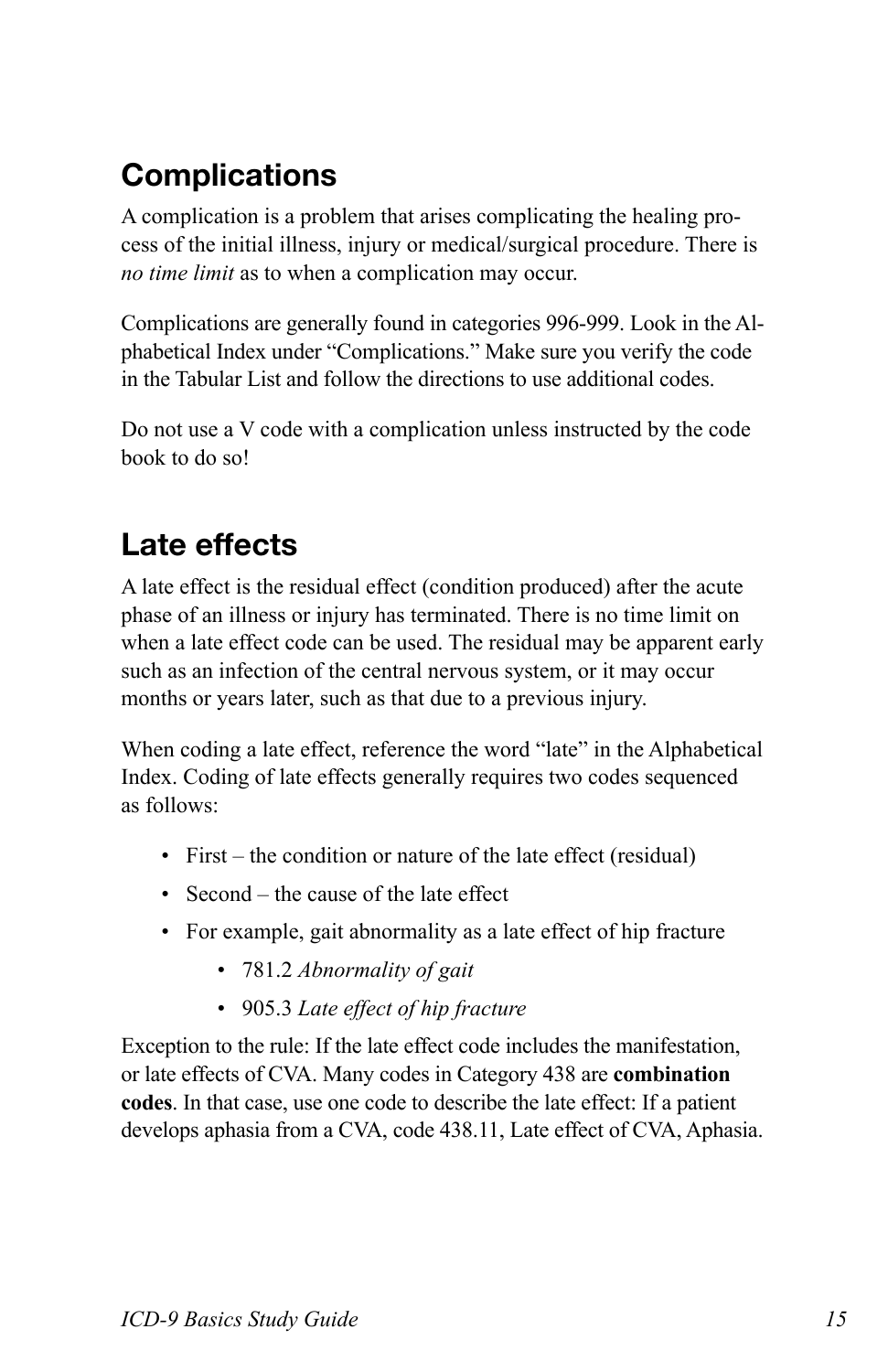# **Complications**

A complication is a problem that arises complicating the healing process of the initial illness, injury or medical/surgical procedure. There is *no time limit* as to when a complication may occur.

Complications are generally found in categories 996-999. Look in the Alphabetical Index under "Complications." Make sure you verify the code in the Tabular List and follow the directions to use additional codes.

Do not use a V code with a complication unless instructed by the code book to do so!

### **Late effects**

A late effect is the residual effect (condition produced) after the acute phase of an illness or injury has terminated. There is no time limit on when a late effect code can be used. The residual may be apparent early such as an infection of the central nervous system, or it may occur months or years later, such as that due to a previous injury.

When coding a late effect, reference the word "late" in the Alphabetical Index. Coding of late effects generally requires two codes sequenced as follows:

- First the condition or nature of the late effect (residual)
- Second the cause of the late effect
- • For example, gait abnormality as a late effect of hip fracture
	- • 781.2 *Abnormality of gait*
	- • 905.3 *Late effect of hip fracture*

Exception to the rule: If the late effect code includes the manifestation, or late effects of CVA. Many codes in Category 438 are **combination codes**. In that case, use one code to describe the late effect: If a patient develops aphasia from a CVA, code 438.11, Late effect of CVA, Aphasia.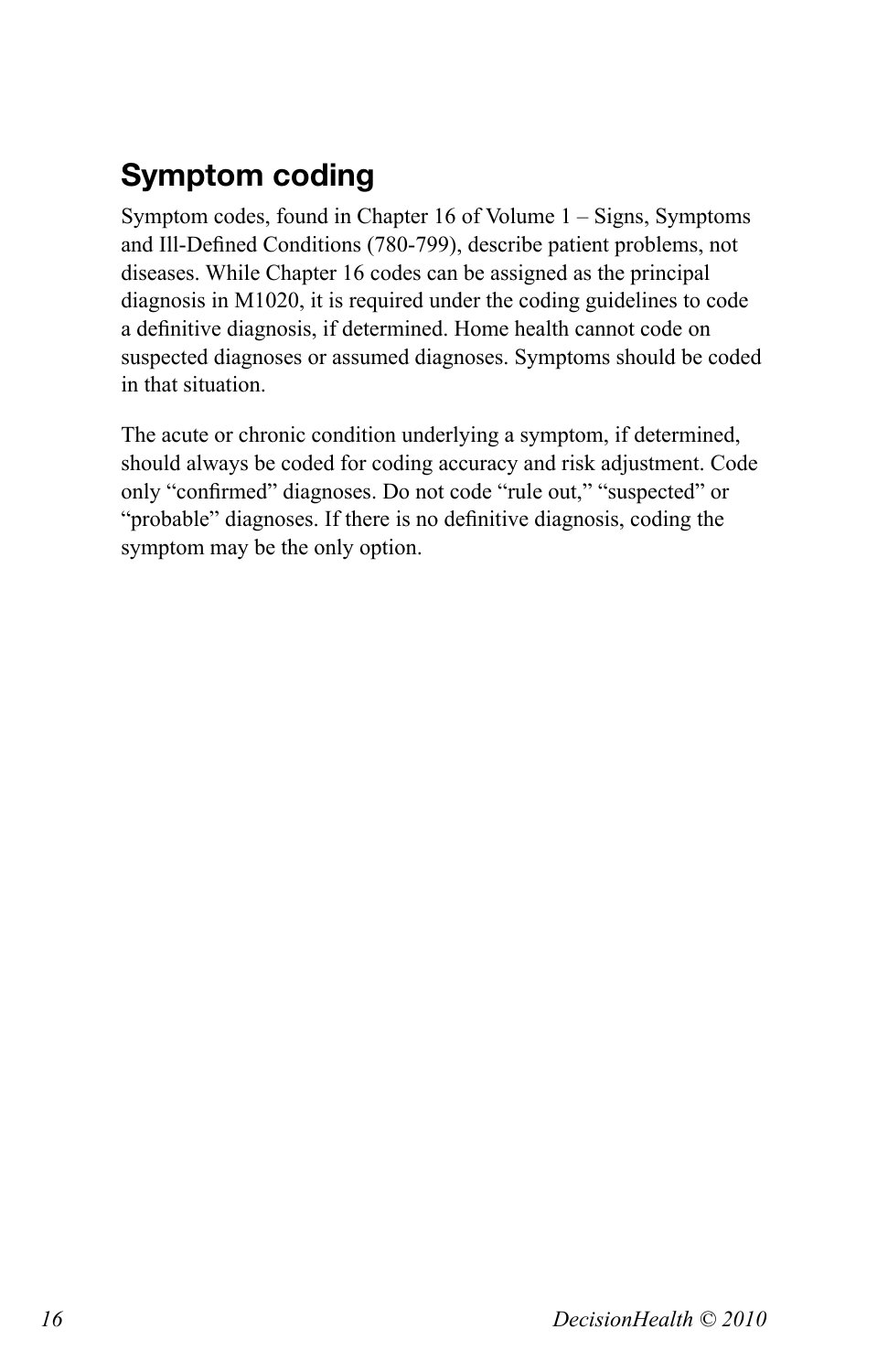# **Symptom coding**

Symptom codes, found in Chapter 16 of Volume 1 – Signs, Symptoms and Ill-Defined Conditions (780-799), describe patient problems, not diseases. While Chapter 16 codes can be assigned as the principal diagnosis in M1020, it is required under the coding guidelines to code a definitive diagnosis, if determined. Home health cannot code on suspected diagnoses or assumed diagnoses. Symptoms should be coded in that situation.

The acute or chronic condition underlying a symptom, if determined, should always be coded for coding accuracy and risk adjustment. Code only "confirmed" diagnoses. Do not code "rule out," "suspected" or "probable" diagnoses. If there is no definitive diagnosis, coding the symptom may be the only option.